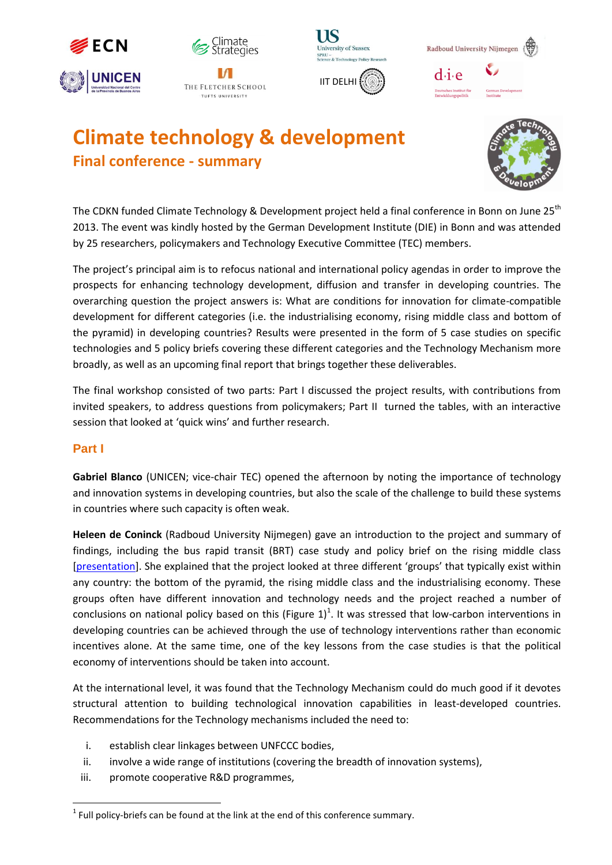







# **Climate technology & development Final conference - summary**



The CDKN funded Climate Technology & Development project held a final conference in Bonn on June 25<sup>th</sup> 2013. The event was kindly hosted by the German Development Institute (DIE) in Bonn and was attended by 25 researchers, policymakers and Technology Executive Committee (TEC) members.

The project's principal aim is to refocus national and international policy agendas in order to improve the prospects for enhancing technology development, diffusion and transfer in developing countries. The overarching question the project answers is: What are conditions for innovation for climate-compatible development for different categories (i.e. the industrialising economy, rising middle class and bottom of the pyramid) in developing countries? Results were presented in the form of 5 case studies on specific technologies and 5 policy briefs covering these different categories and the Technology Mechanism more broadly, as well as an upcoming final report that brings together these deliverables.

The final workshop consisted of two parts: Part I discussed the project results, with contributions from invited speakers, to address questions from policymakers; Part II turned the tables, with an interactive session that looked at 'quick wins' and further research.

### **Part I**

l

**Gabriel Blanco** (UNICEN; vice-chair TEC) opened the afternoon by noting the importance of technology and innovation systems in developing countries, but also the scale of the challenge to build these systems in countries where such capacity is often weak.

**Heleen de Coninck** (Radboud University Nijmegen) gave an introduction to the project and summary of findings, including the bus rapid transit (BRT) case study and policy brief on the rising middle class [\[presentation\]](http://www.ecn.nl/fileadmin/ecn/units/bs/symp_CDKN_2013/CTD_finalworkshop_20130625_HeleendeConinck.pdf). She explained that the project looked at three different 'groups' that typically exist within any country: the bottom of the pyramid, the rising middle class and the industrialising economy. These groups often have different innovation and technology needs and the project reached a number of conclusions on national policy based on this (Figure  $1)^1$ . It was stressed that low-carbon interventions in developing countries can be achieved through the use of technology interventions rather than economic incentives alone. At the same time, one of the key lessons from the case studies is that the political economy of interventions should be taken into account.

At the international level, it was found that the Technology Mechanism could do much good if it devotes structural attention to building technological innovation capabilities in least-developed countries. Recommendations for the Technology mechanisms included the need to:

- i. establish clear linkages between UNFCCC bodies,
- ii. involve a wide range of institutions (covering the breadth of innovation systems),
- iii. promote cooperative R&D programmes,

 $^1$  Full policy-briefs can be found at the link at the end of this conference summary.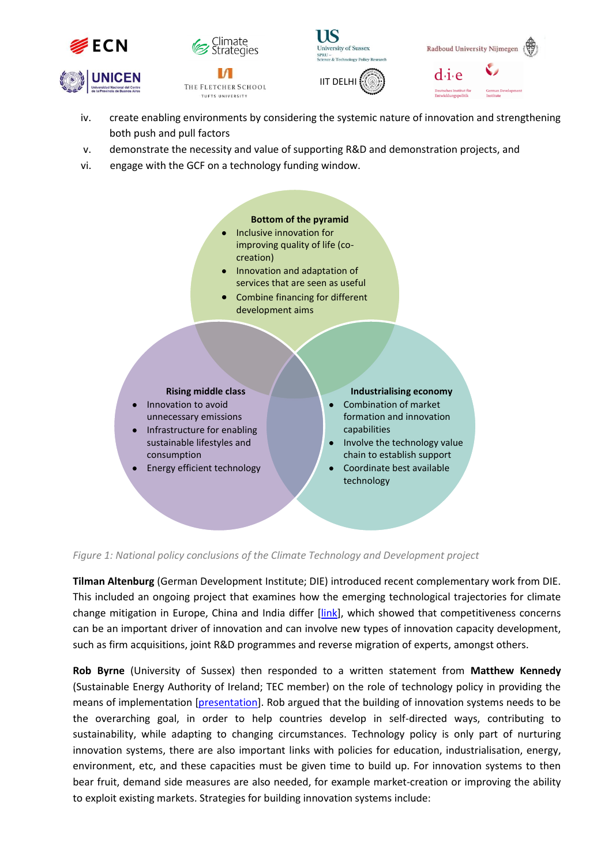



THE FLETCHER SCHOOL TUFTS UNIVERSITY



IIT DELHI



- iv. create enabling environments by considering the systemic nature of innovation and strengthening both push and pull factors
- v. demonstrate the necessity and value of supporting R&D and demonstration projects, and
- vi. engage with the GCF on a technology funding window.



*Figure 1: National policy conclusions of the Climate Technology and Development project*

**Tilman Altenburg** (German Development Institute; DIE) introduced recent complementary work from DIE. This included an ongoing project that examines how the emerging technological trajectories for climate change mitigation in Europe, China and India differ [\[link\]](http://www.die-gdi.de/CMS-Homepage/openwebcms3_e.nsf/(ynDK_contentByKey)/MSIN-8NAH99?Open&nav=expand:Research%20and%20Consulting;active:Research%20and%20Consulting/MSIN-8NAH99), which showed that competitiveness concerns can be an important driver of innovation and can involve new types of innovation capacity development, such as firm acquisitions, joint R&D programmes and reverse migration of experts, amongst others.

**Rob Byrne** (University of Sussex) then responded to a written statement from **Matthew Kennedy** (Sustainable Energy Authority of Ireland; TEC member) on the role of technology policy in providing the means of implementation [\[presentation\]](http://www.ecn.nl/fileadmin/ecn/units/bs/symp_CDKN_2013/CTD_finalworkshop_20130625_RobByrne.pdf). Rob argued that the building of innovation systems needs to be the overarching goal, in order to help countries develop in self-directed ways, contributing to sustainability, while adapting to changing circumstances. Technology policy is only part of nurturing innovation systems, there are also important links with policies for education, industrialisation, energy, environment, etc, and these capacities must be given time to build up. For innovation systems to then bear fruit, demand side measures are also needed, for example market-creation or improving the ability to exploit existing markets. Strategies for building innovation systems include: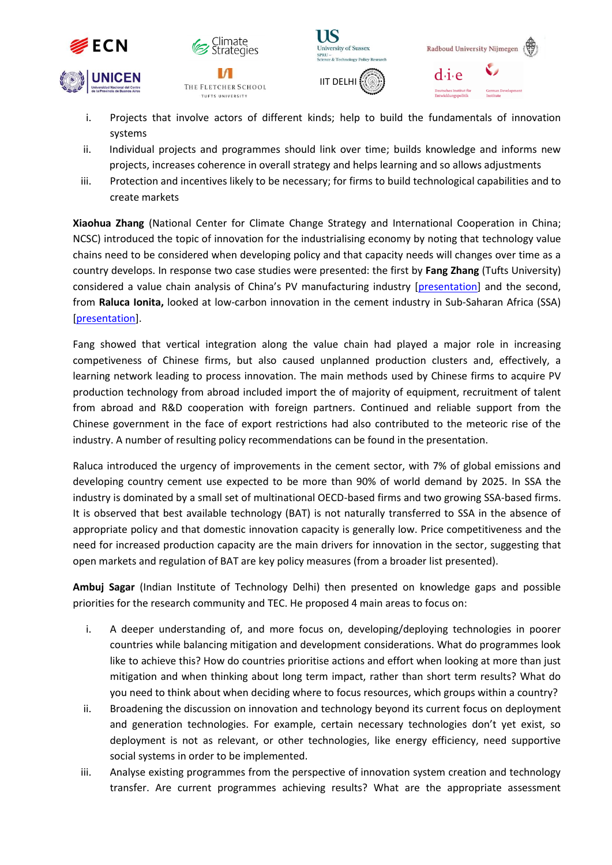







i. Projects that involve actors of different kinds; help to build the fundamentals of innovation systems

IS

- ii. Individual projects and programmes should link over time; builds knowledge and informs new projects, increases coherence in overall strategy and helps learning and so allows adjustments
- iii. Protection and incentives likely to be necessary; for firms to build technological capabilities and to create markets

**Xiaohua Zhang** (National Center for Climate Change Strategy and International Cooperation in China; NCSC) introduced the topic of innovation for the industrialising economy by noting that technology value chains need to be considered when developing policy and that capacity needs will changes over time as a country develops. In response two case studies were presented: the first by **Fang Zhang** (Tufts University) considered a value chain analysis of China's PV manufacturing industry [\[presentation\]](http://www.ecn.nl/fileadmin/ecn/units/bs/symp_CDKN_2013/CTD_finalworkshop_20130625_KellySimsGallagher_FangZhang.pdf) and the second, from **Raluca Ionita,** looked at low-carbon innovation in the cement industry in Sub-Saharan Africa (SSA) [\[presentation\]](http://www.ecn.nl/fileadmin/ecn/units/bs/symp_CDKN_2013/CTD_finalworkshop_20130625_RalucaIonita.pdf).

Fang showed that vertical integration along the value chain had played a major role in increasing competiveness of Chinese firms, but also caused unplanned production clusters and, effectively, a learning network leading to process innovation. The main methods used by Chinese firms to acquire PV production technology from abroad included import the of majority of equipment, recruitment of talent from abroad and R&D cooperation with foreign partners. Continued and reliable support from the Chinese government in the face of export restrictions had also contributed to the meteoric rise of the industry. A number of resulting policy recommendations can be found in the presentation.

Raluca introduced the urgency of improvements in the cement sector, with 7% of global emissions and developing country cement use expected to be more than 90% of world demand by 2025. In SSA the industry is dominated by a small set of multinational OECD-based firms and two growing SSA-based firms. It is observed that best available technology (BAT) is not naturally transferred to SSA in the absence of appropriate policy and that domestic innovation capacity is generally low. Price competitiveness and the need for increased production capacity are the main drivers for innovation in the sector, suggesting that open markets and regulation of BAT are key policy measures (from a broader list presented).

**Ambuj Sagar** (Indian Institute of Technology Delhi) then presented on knowledge gaps and possible priorities for the research community and TEC. He proposed 4 main areas to focus on:

- i. A deeper understanding of, and more focus on, developing/deploying technologies in poorer countries while balancing mitigation and development considerations. What do programmes look like to achieve this? How do countries prioritise actions and effort when looking at more than just mitigation and when thinking about long term impact, rather than short term results? What do you need to think about when deciding where to focus resources, which groups within a country?
- ii. Broadening the discussion on innovation and technology beyond its current focus on deployment and generation technologies. For example, certain necessary technologies don't yet exist, so deployment is not as relevant, or other technologies, like energy efficiency, need supportive social systems in order to be implemented.
- iii. Analyse existing programmes from the perspective of innovation system creation and technology transfer. Are current programmes achieving results? What are the appropriate assessment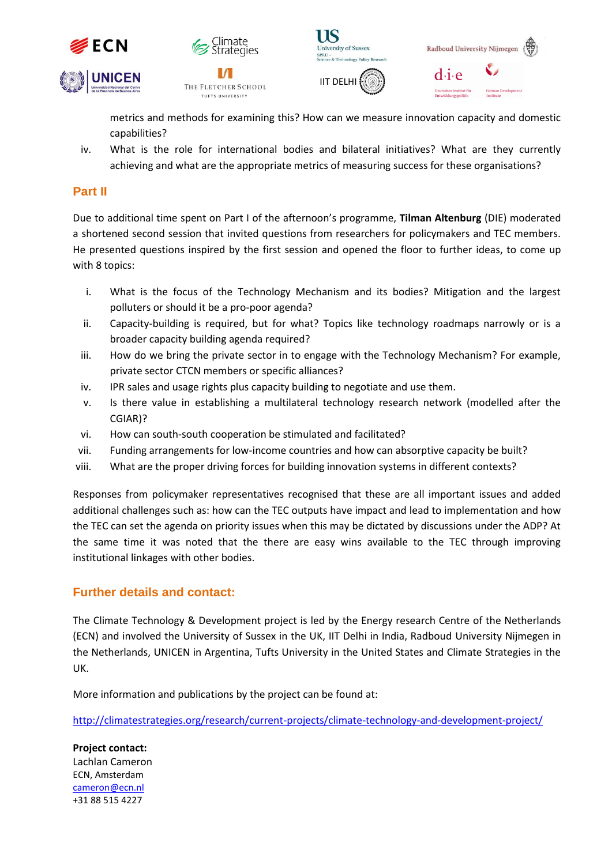



THE FLETCHER SCHOOL TUFTS UNIVERSITY





metrics and methods for examining this? How can we measure innovation capacity and domestic capabilities?

iv. What is the role for international bodies and bilateral initiatives? What are they currently achieving and what are the appropriate metrics of measuring success for these organisations?

## **Part II**

Due to additional time spent on Part I of the afternoon's programme, **Tilman Altenburg** (DIE) moderated a shortened second session that invited questions from researchers for policymakers and TEC members. He presented questions inspired by the first session and opened the floor to further ideas, to come up with 8 topics:

- i. What is the focus of the Technology Mechanism and its bodies? Mitigation and the largest polluters or should it be a pro-poor agenda?
- ii. Capacity-building is required, but for what? Topics like technology roadmaps narrowly or is a broader capacity building agenda required?
- iii. How do we bring the private sector in to engage with the Technology Mechanism? For example, private sector CTCN members or specific alliances?
- iv. IPR sales and usage rights plus capacity building to negotiate and use them.
- v. Is there value in establishing a multilateral technology research network (modelled after the CGIAR)?
- vi. How can south-south cooperation be stimulated and facilitated?
- vii. Funding arrangements for low-income countries and how can absorptive capacity be built?
- viii. What are the proper driving forces for building innovation systems in different contexts?

Responses from policymaker representatives recognised that these are all important issues and added additional challenges such as: how can the TEC outputs have impact and lead to implementation and how the TEC can set the agenda on priority issues when this may be dictated by discussions under the ADP? At the same time it was noted that the there are easy wins available to the TEC through improving institutional linkages with other bodies.

### **Further details and contact:**

The Climate Technology & Development project is led by the Energy research Centre of the Netherlands (ECN) and involved the University of Sussex in the UK, IIT Delhi in India, Radboud University Nijmegen in the Netherlands, UNICEN in Argentina, Tufts University in the United States and Climate Strategies in the UK.

More information and publications by the project can be found at:

<http://climatestrategies.org/research/current-projects/climate-technology-and-development-project/>

**Project contact:** Lachlan Cameron ECN, Amsterdam [cameron@ecn.nl](mailto:cameron@ecn.nl) +31 88 515 4227